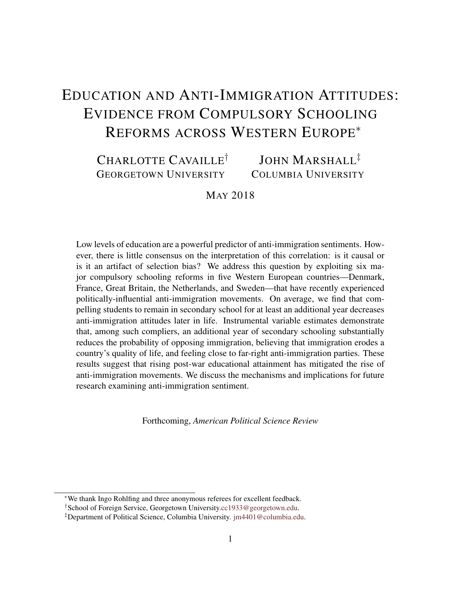# <span id="page-0-0"></span>EDUCATION AND ANTI-IMMIGRATION ATTITUDES: EVIDENCE FROM COMPULSORY SCHOOLING REFORMS ACROSS WESTERN EUROPE<sup>∗</sup>

#### CHARLOTTE CAVAILLE<sup>†</sup> GEORGETOWN UNIVERSITY JOHN MARSHALL<sup>‡</sup> COLUMBIA UNIVERSITY

# MAY 2018

Low levels of education are a powerful predictor of anti-immigration sentiments. However, there is little consensus on the interpretation of this correlation: is it causal or is it an artifact of selection bias? We address this question by exploiting six major compulsory schooling reforms in five Western European countries—Denmark, France, Great Britain, the Netherlands, and Sweden—that have recently experienced politically-influential anti-immigration movements. On average, we find that compelling students to remain in secondary school for at least an additional year decreases anti-immigration attitudes later in life. Instrumental variable estimates demonstrate that, among such compliers, an additional year of secondary schooling substantially reduces the probability of opposing immigration, believing that immigration erodes a country's quality of life, and feeling close to far-right anti-immigration parties. These results suggest that rising post-war educational attainment has mitigated the rise of anti-immigration movements. We discuss the mechanisms and implications for future research examining anti-immigration sentiment.

Forthcoming, *American Political Science Review*

<sup>∗</sup>We thank Ingo Rohlfing and three anonymous referees for excellent feedback.

<sup>†</sup>School of Foreign Service, Georgetown University[.cc1933@georgetown.edu.](cc1933@georgetown.edu)

<sup>‡</sup>Department of Political Science, Columbia University. [jm4401@columbia.edu.](jm4401@columbia.edu))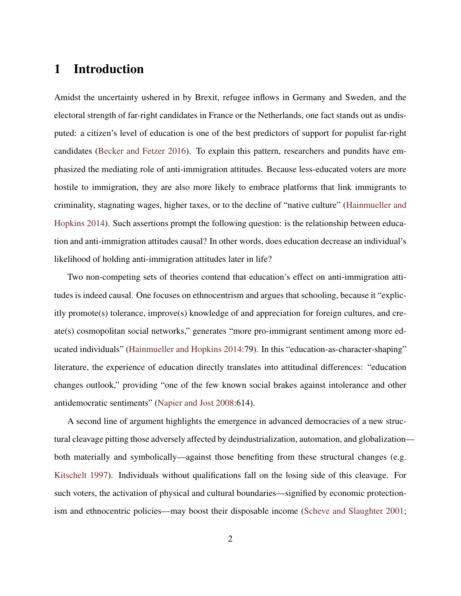# 1 Introduction

Amidst the uncertainty ushered in by Brexit, refugee inflows in Germany and Sweden, and the electoral strength of far-right candidates in France or the Netherlands, one fact stands out as undisputed: a citizen's level of education is one of the best predictors of support for populist far-right candidates [\(Becker and Fetzer](#page-18-0) [2016\)](#page-18-0). To explain this pattern, researchers and pundits have emphasized the mediating role of anti-immigration attitudes. Because less-educated voters are more hostile to immigration, they are also more likely to embrace platforms that link immigrants to criminality, stagnating wages, higher taxes, or to the decline of "native culture" [\(Hainmueller and](#page-18-1) [Hopkins](#page-18-1) [2014\)](#page-18-1). Such assertions prompt the following question: is the relationship between education and anti-immigration attitudes causal? In other words, does education decrease an individual's likelihood of holding anti-immigration attitudes later in life?

Two non-competing sets of theories contend that education's effect on anti-immigration attitudes is indeed causal. One focuses on ethnocentrism and argues that schooling, because it "explicitly promote(s) tolerance, improve(s) knowledge of and appreciation for foreign cultures, and create(s) cosmopolitan social networks," generates "more pro-immigrant sentiment among more educated individuals" [\(Hainmueller and Hopkins](#page-18-1) [2014:](#page-18-1)79). In this "education-as-character-shaping" literature, the experience of education directly translates into attitudinal differences: "education changes outlook," providing "one of the few known social brakes against intolerance and other antidemocratic sentiments" [\(Napier and Jost](#page-19-0) [2008:](#page-19-0)614).

A second line of argument highlights the emergence in advanced democracies of a new structural cleavage pitting those adversely affected by deindustrialization, automation, and globalization both materially and symbolically—against those benefiting from these structural changes (e.g. [Kitschelt](#page-18-2) [1997\)](#page-18-2). Individuals without qualifications fall on the losing side of this cleavage. For such voters, the activation of physical and cultural boundaries—signified by economic protectionism and ethnocentric policies—may boost their disposable income [\(Scheve and Slaughter](#page-19-1) [2001;](#page-19-1)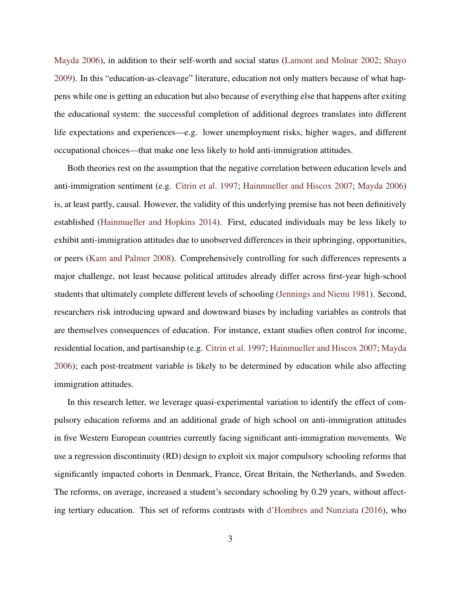[Mayda](#page-19-2) [2006\)](#page-19-2), in addition to their self-worth and social status [\(Lamont and Molnar](#page-19-3) [2002;](#page-19-3) [Shayo](#page-19-4) [2009\)](#page-19-4). In this "education-as-cleavage" literature, education not only matters because of what happens while one is getting an education but also because of everything else that happens after exiting the educational system: the successful completion of additional degrees translates into different life expectations and experiences—e.g. lower unemployment risks, higher wages, and different occupational choices—that make one less likely to hold anti-immigration attitudes.

Both theories rest on the assumption that the negative correlation between education levels and anti-immigration sentiment (e.g. [Citrin et al.](#page-18-3) [1997;](#page-18-3) [Hainmueller and Hiscox](#page-18-4) [2007;](#page-18-4) [Mayda](#page-19-2) [2006\)](#page-19-2) is, at least partly, causal. However, the validity of this underlying premise has not been definitively established [\(Hainmueller and Hopkins](#page-18-1) [2014\)](#page-18-1). First, educated individuals may be less likely to exhibit anti-immigration attitudes due to unobserved differences in their upbringing, opportunities, or peers [\(Kam and Palmer](#page-18-5) [2008\)](#page-18-5). Comprehensively controlling for such differences represents a major challenge, not least because political attitudes already differ across first-year high-school students that ultimately complete different levels of schooling [\(Jennings and Niemi](#page-18-6) [1981\)](#page-18-6). Second, researchers risk introducing upward and downward biases by including variables as controls that are themselves consequences of education. For instance, extant studies often control for income, residential location, and partisanship (e.g. [Citrin et al.](#page-18-3) [1997;](#page-18-3) [Hainmueller and Hiscox](#page-18-4) [2007;](#page-18-4) [Mayda](#page-19-2) [2006\)](#page-19-2); each post-treatment variable is likely to be determined by education while also affecting immigration attitudes.

In this research letter, we leverage quasi-experimental variation to identify the effect of compulsory education reforms and an additional grade of high school on anti-immigration attitudes in five Western European countries currently facing significant anti-immigration movements. We use a regression discontinuity (RD) design to exploit six major compulsory schooling reforms that significantly impacted cohorts in Denmark, France, Great Britain, the Netherlands, and Sweden. The reforms, on average, increased a student's secondary schooling by 0.29 years, without affecting tertiary education. This set of reforms contrasts with [d'Hombres and Nunziata](#page-18-7) [\(2016\)](#page-18-7), who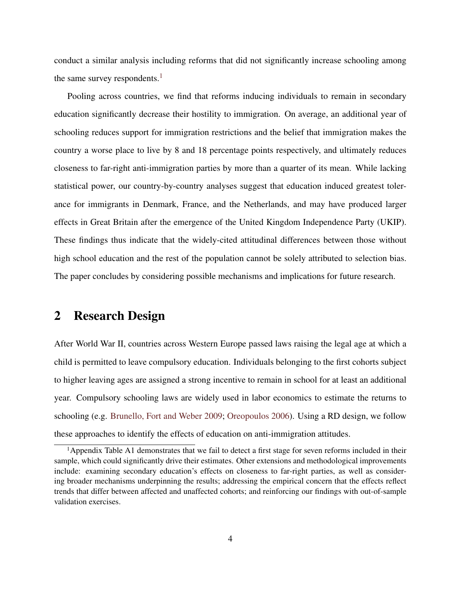conduct a similar analysis including reforms that did not significantly increase schooling among the same survey respondents.<sup>[1](#page-0-0)</sup>

Pooling across countries, we find that reforms inducing individuals to remain in secondary education significantly decrease their hostility to immigration. On average, an additional year of schooling reduces support for immigration restrictions and the belief that immigration makes the country a worse place to live by 8 and 18 percentage points respectively, and ultimately reduces closeness to far-right anti-immigration parties by more than a quarter of its mean. While lacking statistical power, our country-by-country analyses suggest that education induced greatest tolerance for immigrants in Denmark, France, and the Netherlands, and may have produced larger effects in Great Britain after the emergence of the United Kingdom Independence Party (UKIP). These findings thus indicate that the widely-cited attitudinal differences between those without high school education and the rest of the population cannot be solely attributed to selection bias. The paper concludes by considering possible mechanisms and implications for future research.

# 2 Research Design

After World War II, countries across Western Europe passed laws raising the legal age at which a child is permitted to leave compulsory education. Individuals belonging to the first cohorts subject to higher leaving ages are assigned a strong incentive to remain in school for at least an additional year. Compulsory schooling laws are widely used in labor economics to estimate the returns to schooling (e.g. [Brunello, Fort and Weber](#page-18-8) [2009;](#page-18-8) [Oreopoulos](#page-19-5) [2006\)](#page-19-5). Using a RD design, we follow these approaches to identify the effects of education on anti-immigration attitudes.

<sup>&</sup>lt;sup>1</sup>Appendix Table A1 demonstrates that we fail to detect a first stage for seven reforms included in their sample, which could significantly drive their estimates. Other extensions and methodological improvements include: examining secondary education's effects on closeness to far-right parties, as well as considering broader mechanisms underpinning the results; addressing the empirical concern that the effects reflect trends that differ between affected and unaffected cohorts; and reinforcing our findings with out-of-sample validation exercises.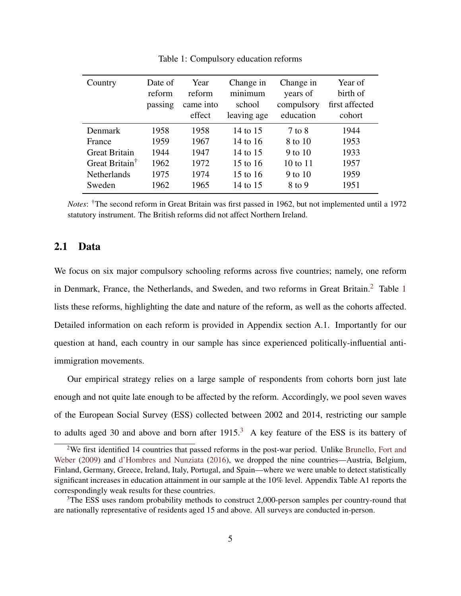<span id="page-4-0"></span>

| Country                    | Date of<br>reform | Year<br>reform<br>came into | Change in<br>minimum<br>school | Change in<br>years of<br>compulsory | Year of<br>birth of<br>first affected |  |
|----------------------------|-------------------|-----------------------------|--------------------------------|-------------------------------------|---------------------------------------|--|
|                            | passing           | effect                      | leaving age                    | education                           | cohort                                |  |
| Denmark                    | 1958              | 1958                        | 14 to 15                       | 7 to 8                              | 1944                                  |  |
| France                     | 1959              | 1967                        | 14 to 16                       | 8 to 10                             | 1953                                  |  |
| <b>Great Britain</b>       | 1944              | 1947                        | 14 to 15                       | 9 to $10$                           | 1933                                  |  |
| Great Britain <sup>†</sup> | 1962              | 1972                        | 15 to 16                       | $10 \text{ to } 11$                 | 1957                                  |  |
| <b>Netherlands</b>         | 1975              | 1974                        | 15 to 16                       | 9 to 10                             | 1959                                  |  |
| Sweden                     | 1962              | 1965                        | 14 to 15                       | 8 to 9                              | 1951                                  |  |

Table 1: Compulsory education reforms

*Notes*: †The second reform in Great Britain was first passed in 1962, but not implemented until a 1972 statutory instrument. The British reforms did not affect Northern Ireland.

#### 2.1 Data

We focus on six major compulsory schooling reforms across five countries; namely, one reform in Denmark, France, the Netherlands, and Sweden, and two reforms in Great Britain.[2](#page-0-0) Table [1](#page-4-0) lists these reforms, highlighting the date and nature of the reform, as well as the cohorts affected. Detailed information on each reform is provided in Appendix section A.1. Importantly for our question at hand, each country in our sample has since experienced politically-influential antiimmigration movements.

Our empirical strategy relies on a large sample of respondents from cohorts born just late enough and not quite late enough to be affected by the reform. Accordingly, we pool seven waves of the European Social Survey (ESS) collected between 2002 and 2014, restricting our sample to adults aged [3](#page-0-0)0 and above and born after 1915.<sup>3</sup> A key feature of the ESS is its battery of

<sup>2</sup>We first identified 14 countries that passed reforms in the post-war period. Unlike [Brunello, Fort and](#page-18-8) [Weber](#page-18-8) [\(2009\)](#page-18-8) and [d'Hombres and Nunziata](#page-18-7) [\(2016\)](#page-18-7), we dropped the nine countries—Austria, Belgium, Finland, Germany, Greece, Ireland, Italy, Portugal, and Spain—where we were unable to detect statistically significant increases in education attainment in our sample at the 10% level. Appendix Table A1 reports the correspondingly weak results for these countries.

<sup>&</sup>lt;sup>3</sup>The ESS uses random probability methods to construct 2,000-person samples per country-round that are nationally representative of residents aged 15 and above. All surveys are conducted in-person.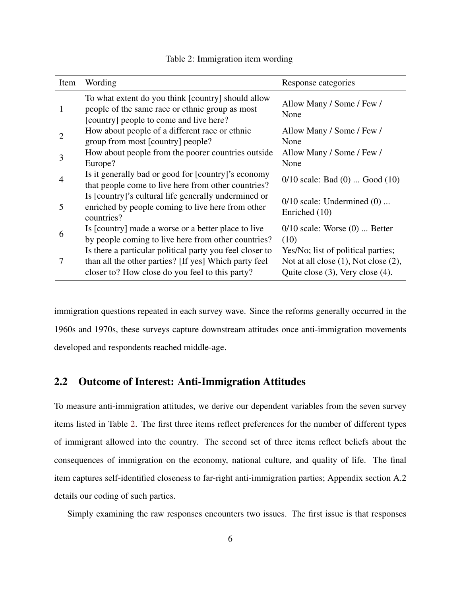<span id="page-5-0"></span>

| Item | Wording                                                                                                                                                              | Response categories                                                                                                  |
|------|----------------------------------------------------------------------------------------------------------------------------------------------------------------------|----------------------------------------------------------------------------------------------------------------------|
| 1    | To what extent do you think [country] should allow<br>people of the same race or ethnic group as most<br>[country] people to come and live here?                     | Allow Many / Some / Few /<br>None                                                                                    |
| 2    | How about people of a different race or ethnic<br>group from most [country] people?                                                                                  | Allow Many / Some / Few /<br>None                                                                                    |
| 3    | How about people from the poorer countries outside<br>Europe?                                                                                                        | Allow Many / Some / Few /<br>None                                                                                    |
| 4    | Is it generally bad or good for [country]'s economy<br>that people come to live here from other countries?                                                           | $0/10$ scale: Bad $(0)$ Good $(10)$                                                                                  |
| 5    | Is [country]'s cultural life generally undermined or<br>enriched by people coming to live here from other<br>countries?                                              | $0/10$ scale: Undermined $(0)$<br>Enriched (10)                                                                      |
| 6    | Is [country] made a worse or a better place to live<br>by people coming to live here from other countries?                                                           | $0/10$ scale: Worse $(0)$ Better<br>(10)                                                                             |
| 7    | Is there a particular political party you feel closer to<br>than all the other parties? [If yes] Which party feel<br>closer to? How close do you feel to this party? | Yes/No; list of political parties;<br>Not at all close $(1)$ , Not close $(2)$ ,<br>Quite close (3), Very close (4). |

#### Table 2: Immigration item wording

immigration questions repeated in each survey wave. Since the reforms generally occurred in the 1960s and 1970s, these surveys capture downstream attitudes once anti-immigration movements developed and respondents reached middle-age.

# 2.2 Outcome of Interest: Anti-Immigration Attitudes

To measure anti-immigration attitudes, we derive our dependent variables from the seven survey items listed in Table [2.](#page-5-0) The first three items reflect preferences for the number of different types of immigrant allowed into the country. The second set of three items reflect beliefs about the consequences of immigration on the economy, national culture, and quality of life. The final item captures self-identified closeness to far-right anti-immigration parties; Appendix section A.2 details our coding of such parties.

Simply examining the raw responses encounters two issues. The first issue is that responses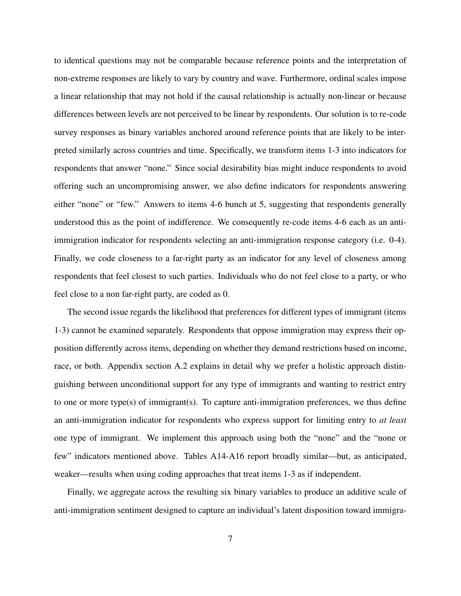to identical questions may not be comparable because reference points and the interpretation of non-extreme responses are likely to vary by country and wave. Furthermore, ordinal scales impose a linear relationship that may not hold if the causal relationship is actually non-linear or because differences between levels are not perceived to be linear by respondents. Our solution is to re-code survey responses as binary variables anchored around reference points that are likely to be interpreted similarly across countries and time. Specifically, we transform items 1-3 into indicators for respondents that answer "none." Since social desirability bias might induce respondents to avoid offering such an uncompromising answer, we also define indicators for respondents answering either "none" or "few." Answers to items 4-6 bunch at 5, suggesting that respondents generally understood this as the point of indifference. We consequently re-code items 4-6 each as an antiimmigration indicator for respondents selecting an anti-immigration response category (i.e. 0-4). Finally, we code closeness to a far-right party as an indicator for any level of closeness among respondents that feel closest to such parties. Individuals who do not feel close to a party, or who feel close to a non far-right party, are coded as 0.

The second issue regards the likelihood that preferences for different types of immigrant (items 1-3) cannot be examined separately. Respondents that oppose immigration may express their opposition differently across items, depending on whether they demand restrictions based on income, race, or both. Appendix section A.2 explains in detail why we prefer a holistic approach distinguishing between unconditional support for any type of immigrants and wanting to restrict entry to one or more type(s) of immigrant(s). To capture anti-immigration preferences, we thus define an anti-immigration indicator for respondents who express support for limiting entry to *at least* one type of immigrant. We implement this approach using both the "none" and the "none or few" indicators mentioned above. Tables A14-A16 report broadly similar—but, as anticipated, weaker—results when using coding approaches that treat items 1-3 as if independent.

Finally, we aggregate across the resulting six binary variables to produce an additive scale of anti-immigration sentiment designed to capture an individual's latent disposition toward immigra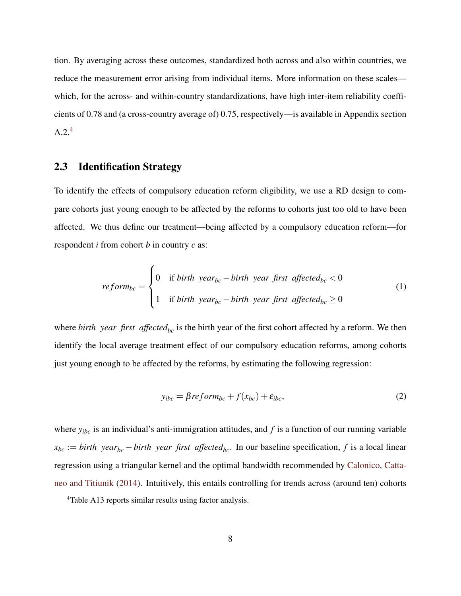tion. By averaging across these outcomes, standardized both across and also within countries, we reduce the measurement error arising from individual items. More information on these scales which, for the across- and within-country standardizations, have high inter-item reliability coefficients of 0.78 and (a cross-country average of) 0.75, respectively—is available in Appendix section  $A.2.<sup>4</sup>$  $A.2.<sup>4</sup>$  $A.2.<sup>4</sup>$ 

# 2.3 Identification Strategy

To identify the effects of compulsory education reform eligibility, we use a RD design to compare cohorts just young enough to be affected by the reforms to cohorts just too old to have been affected. We thus define our treatment—being affected by a compulsory education reform—for respondent *i* from cohort *b* in country *c* as:

$$
reform_{bc} = \begin{cases} 0 & \text{if birth year}_{bc} - birth year first affected_{bc} < 0 \\ 1 & \text{if birth year}_{bc} - birth year first affected_{bc} \ge 0 \end{cases}
$$
 (1)

where *birth year first affected*<sub>*bc*</sub> is the birth year of the first cohort affected by a reform. We then identify the local average treatment effect of our compulsory education reforms, among cohorts just young enough to be affected by the reforms, by estimating the following regression:

$$
y_{ibc} = \beta reform_{bc} + f(x_{bc}) + \varepsilon_{ibc},
$$
\n(2)

where  $y_{ibc}$  is an individual's anti-immigration attitudes, and  $f$  is a function of our running variable  $x_{bc} := birth \, year_{bc} - birth \, year \, first \, affected_{bc}$ . In our baseline specification, *f* is a local linear regression using a triangular kernel and the optimal bandwidth recommended by [Calonico, Catta](#page-18-9)[neo and Titiunik](#page-18-9) [\(2014\)](#page-18-9). Intuitively, this entails controlling for trends across (around ten) cohorts

<sup>4</sup>Table A13 reports similar results using factor analysis.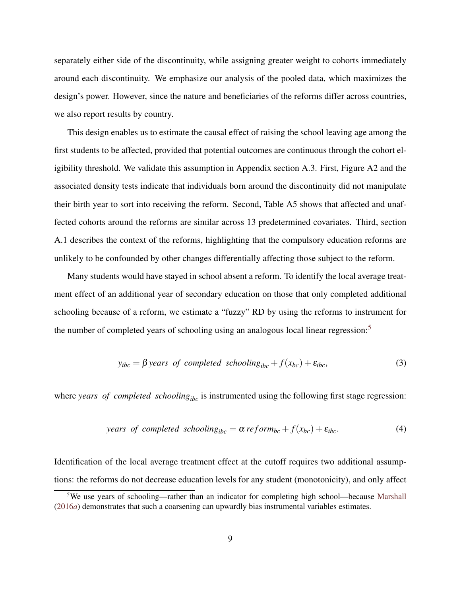separately either side of the discontinuity, while assigning greater weight to cohorts immediately around each discontinuity. We emphasize our analysis of the pooled data, which maximizes the design's power. However, since the nature and beneficiaries of the reforms differ across countries, we also report results by country.

This design enables us to estimate the causal effect of raising the school leaving age among the first students to be affected, provided that potential outcomes are continuous through the cohort eligibility threshold. We validate this assumption in Appendix section A.3. First, Figure A2 and the associated density tests indicate that individuals born around the discontinuity did not manipulate their birth year to sort into receiving the reform. Second, Table A5 shows that affected and unaffected cohorts around the reforms are similar across 13 predetermined covariates. Third, section A.1 describes the context of the reforms, highlighting that the compulsory education reforms are unlikely to be confounded by other changes differentially affecting those subject to the reform.

Many students would have stayed in school absent a reform. To identify the local average treatment effect of an additional year of secondary education on those that only completed additional schooling because of a reform, we estimate a "fuzzy" RD by using the reforms to instrument for the number of completed years of schooling using an analogous local linear regression:<sup>[5](#page-0-0)</sup>

$$
y_{ibc} = \beta \text{ years of completed solon } y_{ibc} + f(x_{bc}) + \varepsilon_{ibc}, \tag{3}
$$

where *years of completed schooling*<sub>ibc</sub> is instrumented using the following first stage regression:

years of completed schooling<sub>ibe</sub> = 
$$
\alpha \, reform_{bc} + f(x_{bc}) + \varepsilon_{ibe}
$$
. (4)

Identification of the local average treatment effect at the cutoff requires two additional assumptions: the reforms do not decrease education levels for any student (monotonicity), and only affect

<sup>5</sup>We use years of schooling—rather than an indicator for completing high school—because [Marshall](#page-19-6) [\(2016](#page-19-6)*a*) demonstrates that such a coarsening can upwardly bias instrumental variables estimates.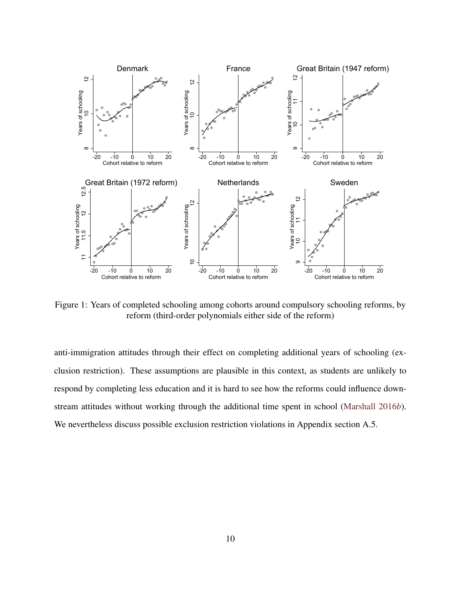<span id="page-9-0"></span>

Figure 1: Years of completed schooling among cohorts around compulsory schooling reforms, by reform (third-order polynomials either side of the reform)

anti-immigration attitudes through their effect on completing additional years of schooling (exclusion restriction). These assumptions are plausible in this context, as students are unlikely to respond by completing less education and it is hard to see how the reforms could influence downstream attitudes without working through the additional time spent in school [\(Marshall](#page-19-7) [2016](#page-19-7)*b*). We nevertheless discuss possible exclusion restriction violations in Appendix section A.5.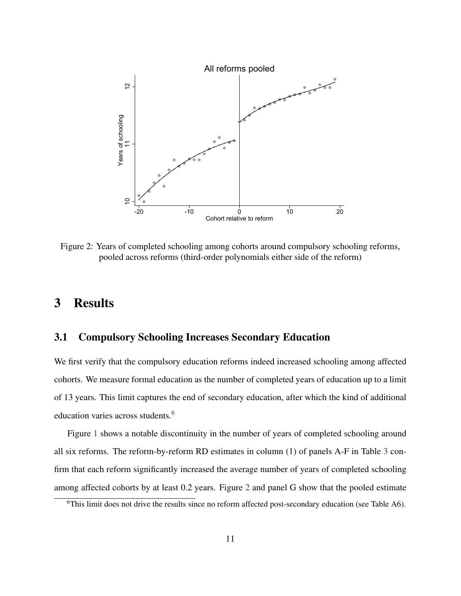<span id="page-10-0"></span>

Figure 2: Years of completed schooling among cohorts around compulsory schooling reforms, pooled across reforms (third-order polynomials either side of the reform)

# 3 Results

# 3.1 Compulsory Schooling Increases Secondary Education

We first verify that the compulsory education reforms indeed increased schooling among affected cohorts. We measure formal education as the number of completed years of education up to a limit of 13 years. This limit captures the end of secondary education, after which the kind of additional education varies across students.[6](#page-0-0)

Figure [1](#page-9-0) shows a notable discontinuity in the number of years of completed schooling around all six reforms. The reform-by-reform RD estimates in column (1) of panels A-F in Table [3](#page-12-0) confirm that each reform significantly increased the average number of years of completed schooling among affected cohorts by at least 0.2 years. Figure [2](#page-10-0) and panel G show that the pooled estimate

<sup>6</sup>This limit does not drive the results since no reform affected post-secondary education (see Table A6).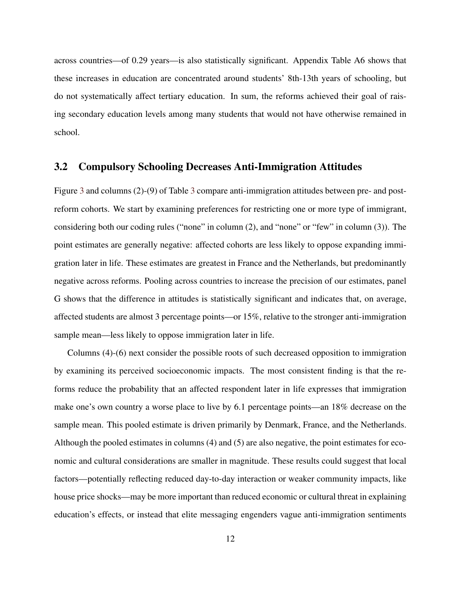across countries—of 0.29 years—is also statistically significant. Appendix Table A6 shows that these increases in education are concentrated around students' 8th-13th years of schooling, but do not systematically affect tertiary education. In sum, the reforms achieved their goal of raising secondary education levels among many students that would not have otherwise remained in school.

# 3.2 Compulsory Schooling Decreases Anti-Immigration Attitudes

Figure [3](#page-13-0) and columns (2)-(9) of Table [3](#page-12-0) compare anti-immigration attitudes between pre- and postreform cohorts. We start by examining preferences for restricting one or more type of immigrant, considering both our coding rules ("none" in column (2), and "none" or "few" in column (3)). The point estimates are generally negative: affected cohorts are less likely to oppose expanding immigration later in life. These estimates are greatest in France and the Netherlands, but predominantly negative across reforms. Pooling across countries to increase the precision of our estimates, panel G shows that the difference in attitudes is statistically significant and indicates that, on average, affected students are almost 3 percentage points—or 15%, relative to the stronger anti-immigration sample mean—less likely to oppose immigration later in life.

Columns (4)-(6) next consider the possible roots of such decreased opposition to immigration by examining its perceived socioeconomic impacts. The most consistent finding is that the reforms reduce the probability that an affected respondent later in life expresses that immigration make one's own country a worse place to live by 6.1 percentage points—an 18% decrease on the sample mean. This pooled estimate is driven primarily by Denmark, France, and the Netherlands. Although the pooled estimates in columns (4) and (5) are also negative, the point estimates for economic and cultural considerations are smaller in magnitude. These results could suggest that local factors—potentially reflecting reduced day-to-day interaction or weaker community impacts, like house price shocks—may be more important than reduced economic or cultural threat in explaining education's effects, or instead that elite messaging engenders vague anti-immigration sentiments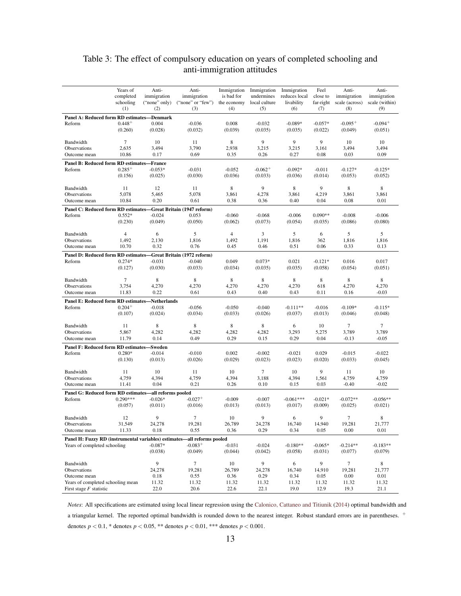# <span id="page-12-0"></span>Table 3: The effect of compulsory education on years of completed schooling and anti-immigration attitudes

|                                                                         | Years of<br>completed<br>schooling | Anti-<br>immigration<br>("none" only) | Anti-<br>immigration<br>("none" or "few") | Immigration<br>is bad for<br>the economy | Immigration<br>undermines<br>local culture | Immigration<br>reduces local<br>livability | Feel<br>close to<br>far-right | Anti-<br>immigration<br>scale (across) | Anti-<br>immigration<br>scale (within) |
|-------------------------------------------------------------------------|------------------------------------|---------------------------------------|-------------------------------------------|------------------------------------------|--------------------------------------------|--------------------------------------------|-------------------------------|----------------------------------------|----------------------------------------|
|                                                                         | (1)                                | (2)                                   | (3)                                       | (4)                                      | (5)                                        | (6)                                        | (7)                           | (8)                                    | (9)                                    |
| Panel A: Reduced form RD estimates-Denmark                              |                                    |                                       |                                           |                                          |                                            |                                            |                               |                                        |                                        |
| Reform                                                                  | $0.448 +$<br>(0.260)               | 0.004<br>(0.028)                      | $-0.036$<br>(0.032)                       | 0.008<br>(0.039)                         | $-0.032$<br>(0.035)                        | $-0.089*$<br>(0.035)                       | $-0.057*$<br>(0.022)          | $-0.095+$<br>(0.049)                   | $-0.094+$<br>(0.051)                   |
| Bandwidth                                                               | 7                                  | 10                                    | 11                                        | 8                                        | 9                                          | 9                                          | 9                             | 10                                     | 10                                     |
| Observations                                                            | 2,635                              | 3,494                                 | 3,790                                     | 2,938                                    | 3,215                                      | 3,215                                      | 3,161                         | 3,494                                  | 3,494                                  |
| Outcome mean                                                            | 10.86                              | 0.17                                  | 0.69                                      | 0.35                                     | 0.26                                       | 0.27                                       | 0.08                          | 0.03                                   | 0.09                                   |
| Panel B: Reduced form RD estimates-France                               |                                    |                                       |                                           |                                          |                                            |                                            |                               |                                        |                                        |
| Reform                                                                  | $0.285+$                           | $-0.053*$                             | $-0.031$                                  | $-0.052$                                 | $-0.062+$                                  | $-0.092*$                                  | $-0.011$                      | $-0.127*$                              | $-0.125*$                              |
|                                                                         | (0.156)                            | (0.025)                               | (0.030)                                   | (0.036)                                  | (0.033)                                    | (0.036)                                    | (0.014)                       | (0.053)                                | (0.052)                                |
| Bandwidth                                                               | 11                                 | 12                                    | 11                                        | 8                                        | 9                                          | 8                                          | 9                             | 8                                      | 8                                      |
| Observations                                                            | 5,078                              | 5,465                                 | 5,078                                     | 3,861                                    | 4,278                                      | 3,861                                      | 4,219                         | 3,861                                  | 3,861                                  |
| Outcome mean                                                            | 10.84                              | 0.20                                  | 0.61                                      | 0.38                                     | 0.36                                       | 0.40                                       | 0.04                          | 0.08                                   | 0.01                                   |
| Panel C: Reduced form RD estimates-Great Britain (1947 reform)          |                                    |                                       |                                           |                                          |                                            |                                            |                               |                                        |                                        |
| Reform                                                                  | $0.552*$                           | $-0.024$                              | 0.053                                     | $-0.060$                                 | $-0.068$                                   | $-0.006$                                   | $0.090**$                     | $-0.008$                               | $-0.006$                               |
|                                                                         | (0.230)                            | (0.049)                               | (0.050)                                   | (0.062)                                  | (0.073)                                    | (0.054)                                    | (0.035)                       | (0.086)                                | (0.080)                                |
| Bandwidth                                                               | $\overline{4}$                     | 6                                     | 5                                         | $\overline{4}$                           | 3                                          | 5                                          | 6                             | 5                                      | 5                                      |
| Observations                                                            | 1,492                              | 2,130                                 | 1,816                                     | 1,492                                    | 1,191                                      | 1,816                                      | 362                           | 1,816                                  | 1,816                                  |
| Outcome mean                                                            | 10.70                              | 0.32                                  | 0.76                                      | 0.45                                     | 0.46                                       | 0.51                                       | 0.06                          | 0.33                                   | 0.13                                   |
| Panel D: Reduced form RD estimates—Great Britain (1972 reform)          |                                    |                                       |                                           |                                          |                                            |                                            |                               |                                        |                                        |
| Reform                                                                  | $0.274*$                           | $-0.031$                              | $-0.040$                                  | 0.049                                    | $0.073*$                                   | 0.021                                      | $-0.121*$                     | 0.016                                  | 0.017                                  |
|                                                                         | (0.127)                            | (0.030)                               | (0.033)                                   | (0.034)                                  | (0.035)                                    | (0.035)                                    | (0.058)                       | (0.054)                                | (0.051)                                |
| Bandwidth                                                               | 7                                  | $\,$ 8 $\,$                           | 8                                         | 8                                        | 8                                          | 8                                          | 8                             | 8                                      | 8                                      |
| Observations                                                            | 3,754                              | 4,270                                 | 4,270                                     | 4,270                                    | 4,270                                      | 4,270                                      | 618                           | 4,270                                  | 4,270                                  |
| Outcome mean                                                            | 11.83                              | 0.22                                  | 0.61                                      | 0.43                                     | 0.40                                       | 0.43                                       | 0.11                          | 0.16                                   | $-0.03$                                |
| Panel E: Reduced form RD estimates-Netherlands                          |                                    |                                       |                                           |                                          |                                            |                                            |                               |                                        |                                        |
| Reform                                                                  | $0.204+$                           | $-0.018$                              | $-0.056$                                  | $-0.050$                                 | $-0.040$                                   | $-0.111**$                                 | $-0.016$                      | $-0.109*$                              | $-0.115*$                              |
|                                                                         | (0.107)                            | (0.024)                               | (0.034)                                   | (0.033)                                  | (0.026)                                    | (0.037)                                    | (0.013)                       | (0.046)                                | (0.048)                                |
| Bandwidth                                                               | 11                                 | 8                                     | 8                                         | 8                                        | 8                                          | 6                                          | 10                            | 7                                      | 7                                      |
| Observations                                                            | 5,867                              | 4,282                                 | 4,282                                     | 4,282                                    | 4,282                                      | 3,293                                      | 5,275                         | 3,789                                  | 3,789                                  |
| Outcome mean                                                            | 11.79                              | 0.14                                  | 0.49                                      | 0.29                                     | 0.15                                       | 0.29                                       | 0.04                          | $-0.13$                                | $-0.05$                                |
| Panel F: Reduced form RD estimates-Sweden                               |                                    |                                       |                                           |                                          |                                            |                                            |                               |                                        |                                        |
| Reform                                                                  | $0.280*$                           | $-0.014$                              | $-0.010$                                  | 0.002                                    | $-0.002$                                   | $-0.021$                                   | 0.029                         | $-0.015$                               | $-0.022$                               |
|                                                                         | (0.130)                            | (0.013)                               | (0.026)                                   | (0.029)                                  | (0.023)                                    | (0.023)                                    | (0.020)                       | (0.033)                                | (0.045)                                |
| Bandwidth                                                               | 11                                 | 10                                    | 11                                        | 10                                       | 7                                          | 10                                         | 9                             | 11                                     | 10                                     |
| Observations                                                            | 4,759                              | 4,394                                 | 4,759                                     | 4,394                                    | 3,188                                      | 4,394                                      | 1,561                         | 4,759                                  | 4,759                                  |
| Outcome mean                                                            | 11.41                              | 0.04                                  | 0.21                                      | 0.26                                     | 0.10                                       | 0.15                                       | 0.03                          | $-0.40$                                | $-0.02$                                |
| Panel G: Reduced form RD estimates—all reforms pooled                   |                                    |                                       |                                           |                                          |                                            |                                            |                               |                                        |                                        |
| Reform                                                                  | $0.290***$                         | $-0.026*$                             | $-0.027+$                                 | $-0.009$                                 | $-0.007$                                   | $-0.061***$                                | $-0.021*$                     | $-0.072**$                             | $-0.056**$                             |
|                                                                         | (0.057)                            | (0.011)                               | (0.016)                                   | (0.013)                                  | (0.013)                                    | (0.017)                                    | (0.009)                       | (0.025)                                | (0.021)                                |
| Bandwidth                                                               | 12                                 | 9                                     | 7                                         | 10                                       | 9                                          | 6                                          | 9                             | 7                                      | 8                                      |
| Observations                                                            | 31,549                             | 24,278                                | 19,281                                    | 26,789                                   | 24,278                                     | 16,740                                     | 14,940                        | 19,281                                 | 21,777                                 |
| Outcome mean                                                            | 11.33                              | 0.18                                  | 0.55                                      | 0.36                                     | 0.29                                       | 0.34                                       | 0.05                          | 0.00                                   | 0.01                                   |
| Panel H: Fuzzy RD (instrumental variables) estimates—all reforms pooled |                                    |                                       |                                           |                                          |                                            |                                            |                               |                                        |                                        |
| Years of completed schooling                                            |                                    | $-0.087*$                             | $-0.083+$                                 | $-0.031$                                 | $-0.024$                                   | $-0.180**$                                 | $-0.065*$                     | $-0.214**$                             | $-0.183**$                             |
|                                                                         |                                    | (0.038)                               | (0.049)                                   | (0.044)                                  | (0.042)                                    | (0.058)                                    | (0.031)                       | (0.077)                                | (0.079)                                |
| Bandwidth                                                               |                                    | 9                                     | $\tau$                                    | 10                                       | 9                                          | 6                                          | 9                             | $\tau$                                 | 8                                      |
| Observations                                                            |                                    | 24,278                                | 19,281                                    | 26,789                                   | 24,278                                     | 16,740                                     | 14,910                        | 19,281                                 | 21,777                                 |
| Outcome mean                                                            |                                    | 0.18                                  | 0.55                                      | 0.36                                     | 0.29                                       | 0.34                                       | 0.05                          | 0.00                                   | 0.01                                   |
| Years of completed schooling mean                                       |                                    | 11.32                                 | 11.32                                     | 11.32                                    | 11.32                                      | 11.32                                      | 11.32                         | 11.32                                  | 11.32                                  |
| First stage $F$ statistic                                               |                                    | 22.0                                  | 20.6                                      | 22.6                                     | 22.1                                       | 19.0                                       | 12.9                          | 19.3                                   | 21.1                                   |

*Notes*: All specifications are estimated using local linear regression using the [Calonico, Cattaneo and Titiunik](#page-18-9) [\(2014\)](#page-18-9) optimal bandwidth and a triangular kernel. The reported optimal bandwidth is rounded down to the nearest integer. Robust standard errors are in parentheses. + denotes  $p < 0.1$ , \* denotes  $p < 0.05$ , \*\* denotes  $p < 0.01$ , \*\*\* denotes  $p < 0.001$ .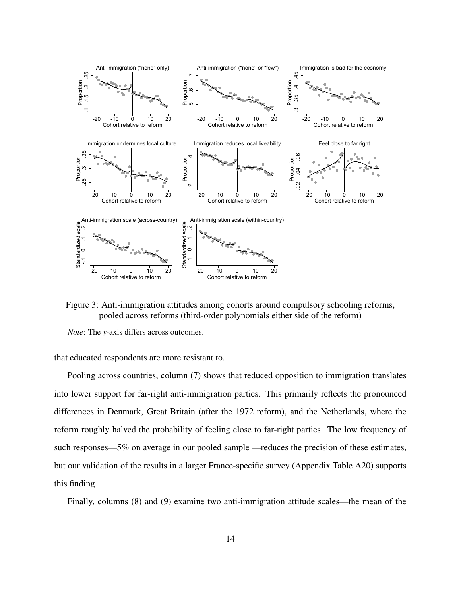<span id="page-13-0"></span>

Figure 3: Anti-immigration attitudes among cohorts around compulsory schooling reforms, pooled across reforms (third-order polynomials either side of the reform)

*Note*: The *y*-axis differs across outcomes.

that educated respondents are more resistant to.

Pooling across countries, column (7) shows that reduced opposition to immigration translates into lower support for far-right anti-immigration parties. This primarily reflects the pronounced differences in Denmark, Great Britain (after the 1972 reform), and the Netherlands, where the reform roughly halved the probability of feeling close to far-right parties. The low frequency of such responses—5% on average in our pooled sample —reduces the precision of these estimates, but our validation of the results in a larger France-specific survey (Appendix Table A20) supports this finding.

Finally, columns (8) and (9) examine two anti-immigration attitude scales—the mean of the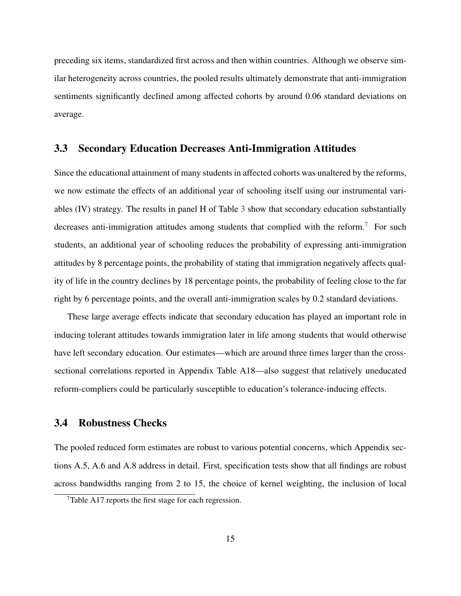preceding six items, standardized first across and then within countries. Although we observe similar heterogeneity across countries, the pooled results ultimately demonstrate that anti-immigration sentiments significantly declined among affected cohorts by around 0.06 standard deviations on average.

#### 3.3 Secondary Education Decreases Anti-Immigration Attitudes

Since the educational attainment of many students in affected cohorts was unaltered by the reforms, we now estimate the effects of an additional year of schooling itself using our instrumental variables (IV) strategy. The results in panel H of Table [3](#page-12-0) show that secondary education substantially decreases anti-immigration attitudes among students that complied with the reform.<sup>[7](#page-0-0)</sup> For such students, an additional year of schooling reduces the probability of expressing anti-immigration attitudes by 8 percentage points, the probability of stating that immigration negatively affects quality of life in the country declines by 18 percentage points, the probability of feeling close to the far right by 6 percentage points, and the overall anti-immigration scales by 0.2 standard deviations.

These large average effects indicate that secondary education has played an important role in inducing tolerant attitudes towards immigration later in life among students that would otherwise have left secondary education. Our estimates—which are around three times larger than the crosssectional correlations reported in Appendix Table A18—also suggest that relatively uneducated reform-compliers could be particularly susceptible to education's tolerance-inducing effects.

#### 3.4 Robustness Checks

The pooled reduced form estimates are robust to various potential concerns, which Appendix sections A.5, A.6 and A.8 address in detail. First, specification tests show that all findings are robust across bandwidths ranging from 2 to 15, the choice of kernel weighting, the inclusion of local

<sup>7</sup>Table A17 reports the first stage for each regression.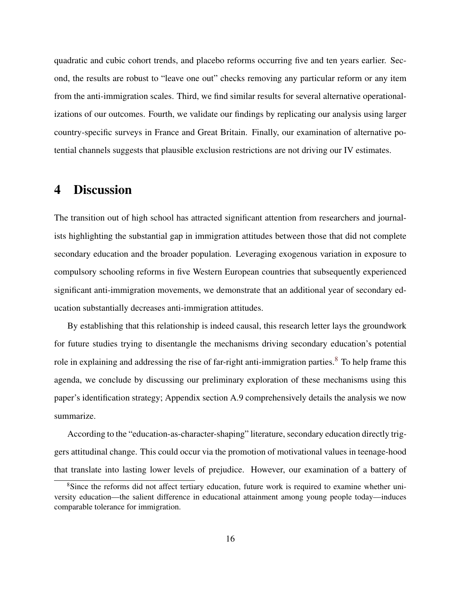quadratic and cubic cohort trends, and placebo reforms occurring five and ten years earlier. Second, the results are robust to "leave one out" checks removing any particular reform or any item from the anti-immigration scales. Third, we find similar results for several alternative operationalizations of our outcomes. Fourth, we validate our findings by replicating our analysis using larger country-specific surveys in France and Great Britain. Finally, our examination of alternative potential channels suggests that plausible exclusion restrictions are not driving our IV estimates.

# 4 Discussion

The transition out of high school has attracted significant attention from researchers and journalists highlighting the substantial gap in immigration attitudes between those that did not complete secondary education and the broader population. Leveraging exogenous variation in exposure to compulsory schooling reforms in five Western European countries that subsequently experienced significant anti-immigration movements, we demonstrate that an additional year of secondary education substantially decreases anti-immigration attitudes.

By establishing that this relationship is indeed causal, this research letter lays the groundwork for future studies trying to disentangle the mechanisms driving secondary education's potential role in explaining and addressing the rise of far-right anti-immigration parties.<sup>[8](#page-0-0)</sup> To help frame this agenda, we conclude by discussing our preliminary exploration of these mechanisms using this paper's identification strategy; Appendix section A.9 comprehensively details the analysis we now summarize.

According to the "education-as-character-shaping" literature, secondary education directly triggers attitudinal change. This could occur via the promotion of motivational values in teenage-hood that translate into lasting lower levels of prejudice. However, our examination of a battery of

<sup>&</sup>lt;sup>8</sup>Since the reforms did not affect tertiary education, future work is required to examine whether university education—the salient difference in educational attainment among young people today—induces comparable tolerance for immigration.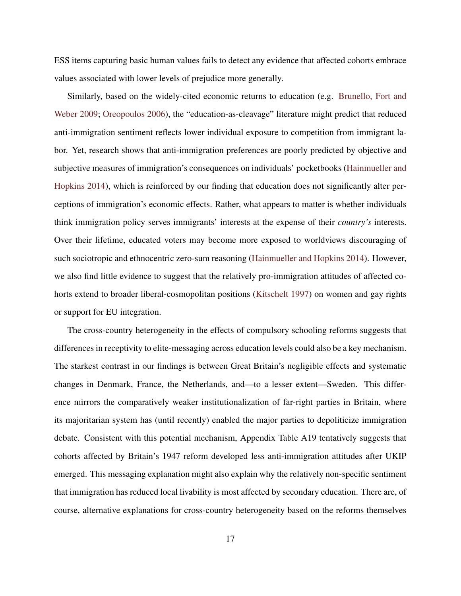ESS items capturing basic human values fails to detect any evidence that affected cohorts embrace values associated with lower levels of prejudice more generally.

Similarly, based on the widely-cited economic returns to education (e.g. [Brunello, Fort and](#page-18-8) [Weber](#page-18-8) [2009;](#page-18-8) [Oreopoulos](#page-19-5) [2006\)](#page-19-5), the "education-as-cleavage" literature might predict that reduced anti-immigration sentiment reflects lower individual exposure to competition from immigrant labor. Yet, research shows that anti-immigration preferences are poorly predicted by objective and subjective measures of immigration's consequences on individuals' pocketbooks [\(Hainmueller and](#page-18-1) [Hopkins](#page-18-1) [2014\)](#page-18-1), which is reinforced by our finding that education does not significantly alter perceptions of immigration's economic effects. Rather, what appears to matter is whether individuals think immigration policy serves immigrants' interests at the expense of their *country's* interests. Over their lifetime, educated voters may become more exposed to worldviews discouraging of such sociotropic and ethnocentric zero-sum reasoning [\(Hainmueller and Hopkins](#page-18-1) [2014\)](#page-18-1). However, we also find little evidence to suggest that the relatively pro-immigration attitudes of affected cohorts extend to broader liberal-cosmopolitan positions [\(Kitschelt](#page-18-2) [1997\)](#page-18-2) on women and gay rights or support for EU integration.

The cross-country heterogeneity in the effects of compulsory schooling reforms suggests that differences in receptivity to elite-messaging across education levels could also be a key mechanism. The starkest contrast in our findings is between Great Britain's negligible effects and systematic changes in Denmark, France, the Netherlands, and—to a lesser extent—Sweden. This difference mirrors the comparatively weaker institutionalization of far-right parties in Britain, where its majoritarian system has (until recently) enabled the major parties to depoliticize immigration debate. Consistent with this potential mechanism, Appendix Table A19 tentatively suggests that cohorts affected by Britain's 1947 reform developed less anti-immigration attitudes after UKIP emerged. This messaging explanation might also explain why the relatively non-specific sentiment that immigration has reduced local livability is most affected by secondary education. There are, of course, alternative explanations for cross-country heterogeneity based on the reforms themselves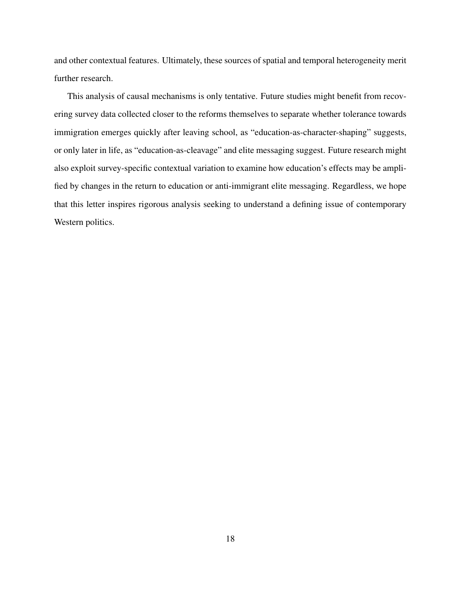and other contextual features. Ultimately, these sources of spatial and temporal heterogeneity merit further research.

This analysis of causal mechanisms is only tentative. Future studies might benefit from recovering survey data collected closer to the reforms themselves to separate whether tolerance towards immigration emerges quickly after leaving school, as "education-as-character-shaping" suggests, or only later in life, as "education-as-cleavage" and elite messaging suggest. Future research might also exploit survey-specific contextual variation to examine how education's effects may be amplified by changes in the return to education or anti-immigrant elite messaging. Regardless, we hope that this letter inspires rigorous analysis seeking to understand a defining issue of contemporary Western politics.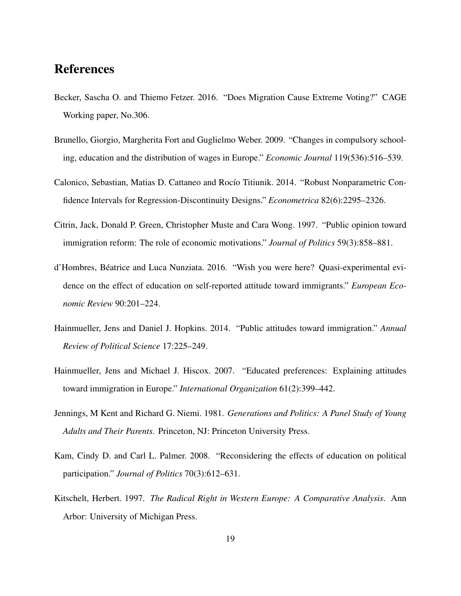# References

- <span id="page-18-0"></span>Becker, Sascha O. and Thiemo Fetzer. 2016. "Does Migration Cause Extreme Voting?" CAGE Working paper, No.306.
- <span id="page-18-8"></span>Brunello, Giorgio, Margherita Fort and Guglielmo Weber. 2009. "Changes in compulsory schooling, education and the distribution of wages in Europe." *Economic Journal* 119(536):516–539.
- <span id="page-18-9"></span>Calonico, Sebastian, Matias D. Cattaneo and Rocío Titiunik. 2014. "Robust Nonparametric Confidence Intervals for Regression-Discontinuity Designs." *Econometrica* 82(6):2295–2326.
- <span id="page-18-3"></span>Citrin, Jack, Donald P. Green, Christopher Muste and Cara Wong. 1997. "Public opinion toward immigration reform: The role of economic motivations." *Journal of Politics* 59(3):858–881.
- <span id="page-18-7"></span>d'Hombres, Beatrice and Luca Nunziata. 2016. "Wish you were here? Quasi-experimental evi- ´ dence on the effect of education on self-reported attitude toward immigrants." *European Economic Review* 90:201–224.
- <span id="page-18-1"></span>Hainmueller, Jens and Daniel J. Hopkins. 2014. "Public attitudes toward immigration." *Annual Review of Political Science* 17:225–249.
- <span id="page-18-4"></span>Hainmueller, Jens and Michael J. Hiscox. 2007. "Educated preferences: Explaining attitudes toward immigration in Europe." *International Organization* 61(2):399–442.
- <span id="page-18-6"></span>Jennings, M Kent and Richard G. Niemi. 1981. *Generations and Politics: A Panel Study of Young Adults and Their Parents*. Princeton, NJ: Princeton University Press.
- <span id="page-18-5"></span>Kam, Cindy D. and Carl L. Palmer. 2008. "Reconsidering the effects of education on political participation." *Journal of Politics* 70(3):612–631.
- <span id="page-18-2"></span>Kitschelt, Herbert. 1997. *The Radical Right in Western Europe: A Comparative Analysis*. Ann Arbor: University of Michigan Press.